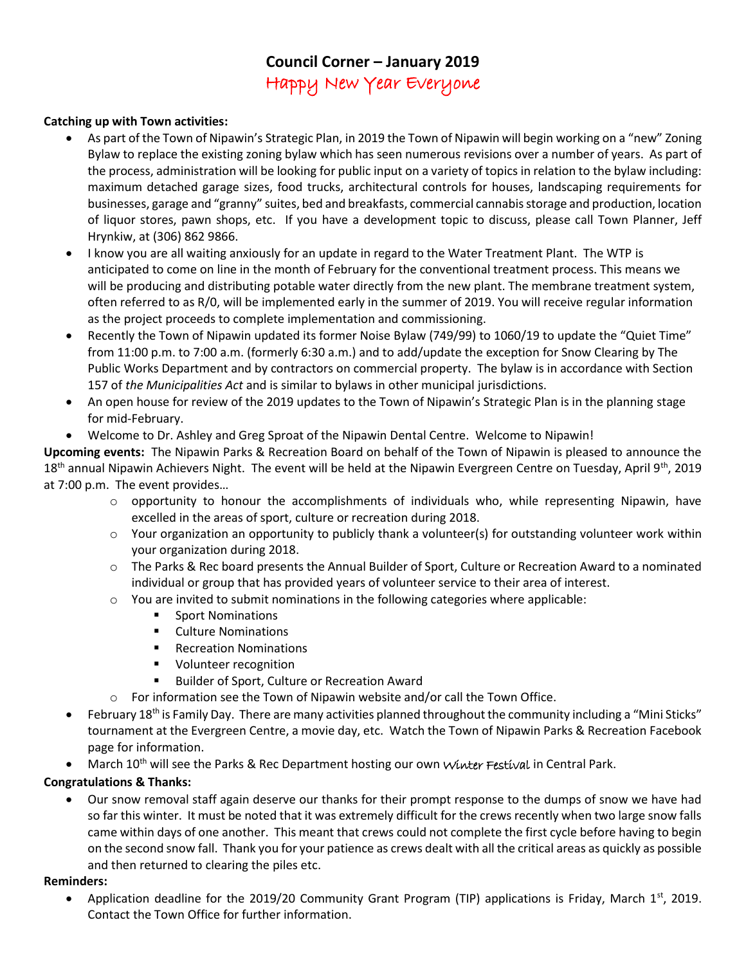## **Council Corner – January 2019** Happy New Year Everyone

## **Catching up with Town activities:**

- As part of the Town of Nipawin's Strategic Plan, in 2019 the Town of Nipawin will begin working on a "new" Zoning Bylaw to replace the existing zoning bylaw which has seen numerous revisions over a number of years. As part of the process, administration will be looking for public input on a variety of topics in relation to the bylaw including: maximum detached garage sizes, food trucks, architectural controls for houses, landscaping requirements for businesses, garage and "granny" suites, bed and breakfasts, commercial cannabis storage and production, location of liquor stores, pawn shops, etc. If you have a development topic to discuss, please call Town Planner, Jeff Hrynkiw, at (306) 862 9866.
- I know you are all waiting anxiously for an update in regard to the Water Treatment Plant. The WTP is anticipated to come on line in the month of February for the conventional treatment process. This means we will be producing and distributing potable water directly from the new plant. The membrane treatment system, often referred to as R/0, will be implemented early in the summer of 2019. You will receive regular information as the project proceeds to complete implementation and commissioning.
- Recently the Town of Nipawin updated its former Noise Bylaw (749/99) to 1060/19 to update the "Quiet Time" from 11:00 p.m. to 7:00 a.m. (formerly 6:30 a.m.) and to add/update the exception for Snow Clearing by The Public Works Department and by contractors on commercial property. The bylaw is in accordance with Section 157 of *the Municipalities Act* and is similar to bylaws in other municipal jurisdictions.
- An open house for review of the 2019 updates to the Town of Nipawin's Strategic Plan is in the planning stage for mid-February.
- Welcome to Dr. Ashley and Greg Sproat of the Nipawin Dental Centre. Welcome to Nipawin!

**Upcoming events:** The Nipawin Parks & Recreation Board on behalf of the Town of Nipawin is pleased to announce the  $18<sup>th</sup>$  annual Nipawin Achievers Night. The event will be held at the Nipawin Evergreen Centre on Tuesday, April 9<sup>th</sup>, 2019 at 7:00 p.m. The event provides…

- $\circ$  opportunity to honour the accomplishments of individuals who, while representing Nipawin, have excelled in the areas of sport, culture or recreation during 2018.
- o Your organization an opportunity to publicly thank a volunteer(s) for outstanding volunteer work within your organization during 2018.
- o The Parks & Rec board presents the Annual Builder of Sport, Culture or Recreation Award to a nominated individual or group that has provided years of volunteer service to their area of interest.
- $\circ$  You are invited to submit nominations in the following categories where applicable:
	- Sport Nominations
	- Culture Nominations
	- Recreation Nominations
	- Volunteer recognition
	- Builder of Sport, Culture or Recreation Award
- o For information see the Town of Nipawin website and/or call the Town Office.
- February 18<sup>th</sup> is Family Day. There are many activities planned throughout the community including a "Mini Sticks" tournament at the Evergreen Centre, a movie day, etc. Watch the Town of Nipawin Parks & Recreation Facebook page for information.
- March 10<sup>th</sup> will see the Parks & Rec Department hosting our own Winter Festival in Central Park.

## **Congratulations & Thanks:**

• Our snow removal staff again deserve our thanks for their prompt response to the dumps of snow we have had so far this winter. It must be noted that it was extremely difficult for the crews recently when two large snow falls came within days of one another. This meant that crews could not complete the first cycle before having to begin on the second snow fall. Thank you for your patience as crews dealt with all the critical areas as quickly as possible and then returned to clearing the piles etc.

## **Reminders:**

• Application deadline for the 2019/20 Community Grant Program (TIP) applications is Friday, March 1st, 2019. Contact the Town Office for further information.